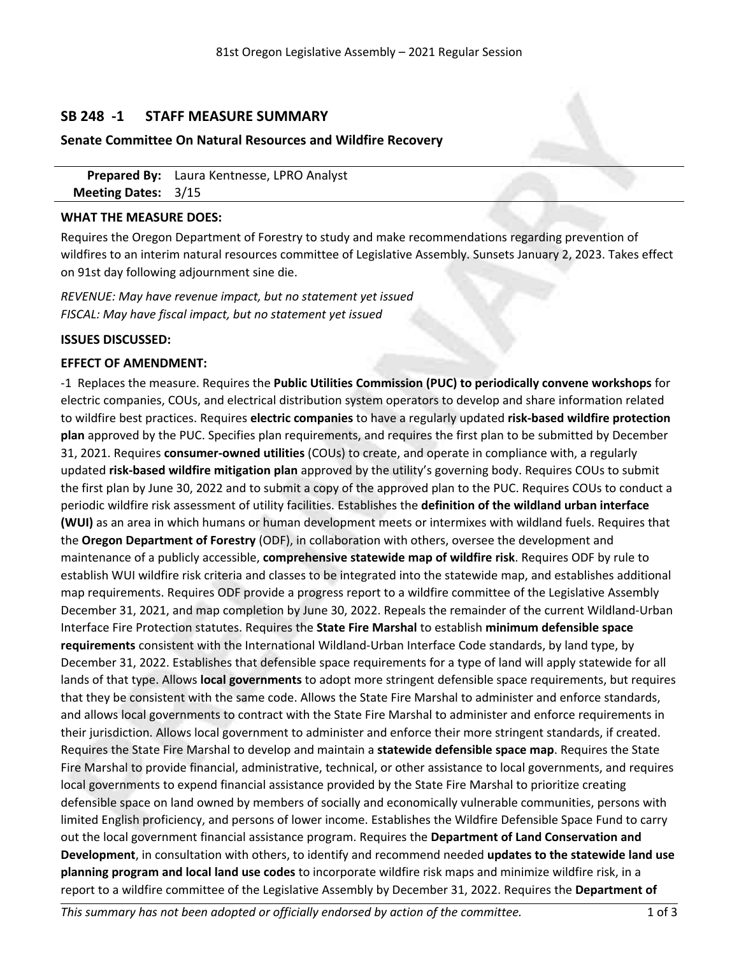# **SB 248 -1 STAFF MEASURE SUMMARY**

## **Senate Committee On Natural Resources and Wildfire Recovery**

**Prepared By:** Laura Kentnesse, LPRO Analyst **Meeting Dates:** 3/15

### **WHAT THE MEASURE DOES:**

Requires the Oregon Department of Forestry to study and make recommendations regarding prevention of wildfires to an interim natural resources committee of Legislative Assembly. Sunsets January 2, 2023. Takes effect on 91st day following adjournment sine die.

*REVENUE: May have revenue impact, but no statement yet issued FISCAL: May have fiscal impact, but no statement yet issued*

## **ISSUES DISCUSSED:**

#### **EFFECT OF AMENDMENT:**

-1 Replaces the measure. Requires the **Public Utilities Commission (PUC) to periodically convene workshops** for electric companies, COUs, and electrical distribution system operators to develop and share information related to wildfire best practices. Requires **electric companies** to have <sup>a</sup> regularly updated **risk-based wildfire protection plan** approved by the PUC. Specifies plan requirements, and requires the first plan to be submitted by December 31, 2021. Requires **consumer-owned utilities** (COUs) to create, and operate in compliance with, <sup>a</sup> regularly updated **risk-based wildfire mitigation plan** approved by the utility's governing body. Requires COUs to submit the first plan by June 30, 2022 and to submit <sup>a</sup> copy of the approved plan to the PUC. Requires COUs to conduct <sup>a</sup> periodic wildfire risk assessment of utility facilities. Establishes the **definition of the wildland urban interface (WUI)** as an area in which humans or human development meets or intermixes with wildland fuels. Requires that the **Oregon Department of Forestry** (ODF), in collaboration with others, oversee the development and maintenance of <sup>a</sup> publicly accessible, **comprehensive statewide map of wildfire risk**. Requires ODF by rule to establish WUI wildfire risk criteria and classes to be integrated into the statewide map, and establishes additional map requirements. Requires ODF provide <sup>a</sup> progress report to <sup>a</sup> wildfire committee of the Legislative Assembly December 31, 2021, and map completion by June 30, 2022. Repeals the remainder of the current Wildland-Urban Interface Fire Protection statutes. Requires the **State Fire Marshal** to establish **minimum defensible space requirements** consistent with the International Wildland-Urban Interface Code standards, by land type, by December 31, 2022. Establishes that defensible space requirements for <sup>a</sup> type of land will apply statewide for all lands of that type. Allows **local governments** to adopt more stringent defensible space requirements, but requires that they be consistent with the same code. Allows the State Fire Marshal to administer and enforce standards, and allows local governments to contract with the State Fire Marshal to administer and enforce requirements in their jurisdiction. Allows local government to administer and enforce their more stringent standards, if created. Requires the State Fire Marshal to develop and maintain <sup>a</sup> **statewide defensible space map**. Requires the State Fire Marshal to provide financial, administrative, technical, or other assistance to local governments, and requires local governments to expend financial assistance provided by the State Fire Marshal to prioritize creating defensible space on land owned by members of socially and economically vulnerable communities, persons with limited English proficiency, and persons of lower income. Establishes the Wildfire Defensible Space Fund to carry out the local government financial assistance program. Requires the **Department of Land Conservation and Development**, in consultation with others, to identify and recommend needed **updates to the statewide land use planning program and local land use codes** to incorporate wildfire risk maps and minimize wildfire risk, in <sup>a</sup> report to <sup>a</sup> wildfire committee of the Legislative Assembly by December 31, 2022. Requires the **Department of**

*This summary has not been adopted or officially endorsed by action of the committee.* 1 of 3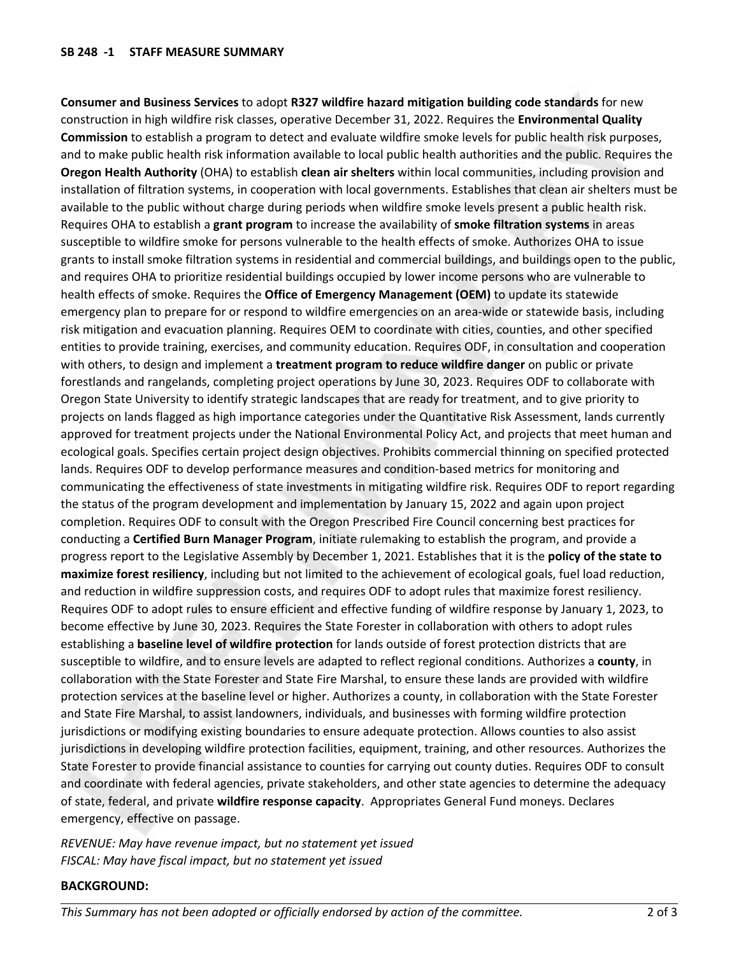**Consumer and Business Services** to adopt **R327 wildfire hazard mitigation building code standards** for new construction in high wildfire risk classes, operative December 31, 2022. Requires the **Environmental Quality Commission** to establish <sup>a</sup> program to detect and evaluate wildfire smoke levels for public health risk purposes, and to make public health risk information available to local public health authorities and the public. Requires the **Oregon Health Authority** (OHA) to establish **clean air shelters** within local communities, including provision and installation of filtration systems, in cooperation with local governments. Establishes that clean air shelters must be available to the public without charge during periods when wildfire smoke levels present <sup>a</sup> public health risk. Requires OHA to establish <sup>a</sup> **grant program** to increase the availability of **smoke filtration systems** in areas susceptible to wildfire smoke for persons vulnerable to the health effects of smoke. Authorizes OHA to issue grants to install smoke filtration systems in residential and commercial buildings, and buildings open to the public, and requires OHA to prioritize residential buildings occupied by lower income persons who are vulnerable to health effects of smoke. Requires the **Office of Emergency Management (OEM)** to update its statewide emergency plan to prepare for or respond to wildfire emergencies on an area-wide or statewide basis, including risk mitigation and evacuation planning. Requires OEM to coordinate with cities, counties, and other specified entities to provide training, exercises, and community education. Requires ODF, in consultation and cooperation with others, to design and implement <sup>a</sup> **treatment program to reduce wildfire danger** on public or private forestlands and rangelands, completing project operations by June 30, 2023. Requires ODF to collaborate with Oregon State University to identify strategic landscapes that are ready for treatment, and to give priority to projects on lands flagged as high importance categories under the Quantitative Risk Assessment, lands currently approved for treatment projects under the National Environmental Policy Act, and projects that meet human and ecological goals. Specifies certain project design objectives. Prohibits commercial thinning on specified protected lands. Requires ODF to develop performance measures and condition-based metrics for monitoring and communicating the effectiveness of state investments in mitigating wildfire risk. Requires ODF to report regarding the status of the program development and implementation by January 15, 2022 and again upon project completion. Requires ODF to consult with the Oregon Prescribed Fire Council concerning best practices for conducting <sup>a</sup> **Certified Burn Manager Program**, initiate rulemaking to establish the program, and provide <sup>a</sup> progress report to the Legislative Assembly by December 1, 2021. Establishes that it is the **policy of the state to maximize forest resiliency**, including but not limited to the achievement of ecological goals, fuel load reduction, and reduction in wildfire suppression costs, and requires ODF to adopt rules that maximize forest resiliency. Requires ODF to adopt rules to ensure efficient and effective funding of wildfire response by January 1, 2023, to become effective by June 30, 2023. Requires the State Forester in collaboration with others to adopt rules establishing <sup>a</sup> **baseline level of wildfire protection** for lands outside of forest protection districts that are susceptible to wildfire, and to ensure levels are adapted to reflect regional conditions. Authorizes <sup>a</sup> **county**, in collaboration with the State Forester and State Fire Marshal, to ensure these lands are provided with wildfire protection services at the baseline level or higher. Authorizes <sup>a</sup> county, in collaboration with the State Forester and State Fire Marshal, to assist landowners, individuals, and businesses with forming wildfire protection jurisdictions or modifying existing boundaries to ensure adequate protection. Allows counties to also assist jurisdictions in developing wildfire protection facilities, equipment, training, and other resources. Authorizes the State Forester to provide financial assistance to counties for carrying out county duties. Requires ODF to consult and coordinate with federal agencies, private stakeholders, and other state agencies to determine the adequacy of state, federal, and private **wildfire response capacity**. Appropriates General Fund moneys. Declares emergency, effective on passage.

*REVENUE: May have revenue impact, but no statement yet issued FISCAL: May have fiscal impact, but no statement yet issued*

## **BACKGROUND:**